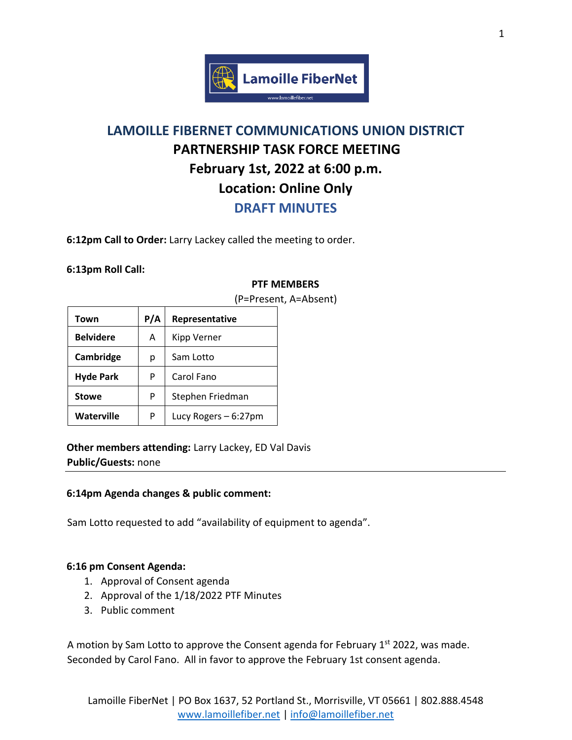

# **LAMOILLE FIBERNET COMMUNICATIONS UNION DISTRICT PARTNERSHIP TASK FORCE MEETING February 1st, 2022 at 6:00 p.m. Location: Online Only**

**DRAFT MINUTES**

**6:12pm Call to Order:** Larry Lackey called the meeting to order.

### **6:13pm Roll Call:**

## **PTF MEMBERS**

| Town              | P/A | Representative       |
|-------------------|-----|----------------------|
| <b>Belvidere</b>  | A   | Kipp Verner          |
| Cambridge         | р   | Sam Lotto            |
| <b>Hyde Park</b>  | P   | Carol Fano           |
| <b>Stowe</b>      | P   | Stephen Friedman     |
| <b>Waterville</b> | P   | Lucy Rogers - 6:27pm |

(P=Present, A=Absent)

**Other members attending:** Larry Lackey, ED Val Davis **Public/Guests:** none

### **6:14pm Agenda changes & public comment:**

Sam Lotto requested to add "availability of equipment to agenda".

### **6:16 pm Consent Agenda:**

- 1. Approval of Consent agenda
- 2. Approval of the 1/18/2022 PTF Minutes
- 3. Public comment

A motion by Sam Lotto to approve the Consent agenda for February 1<sup>st</sup> 2022, was made. Seconded by Carol Fano. All in favor to approve the February 1st consent agenda.